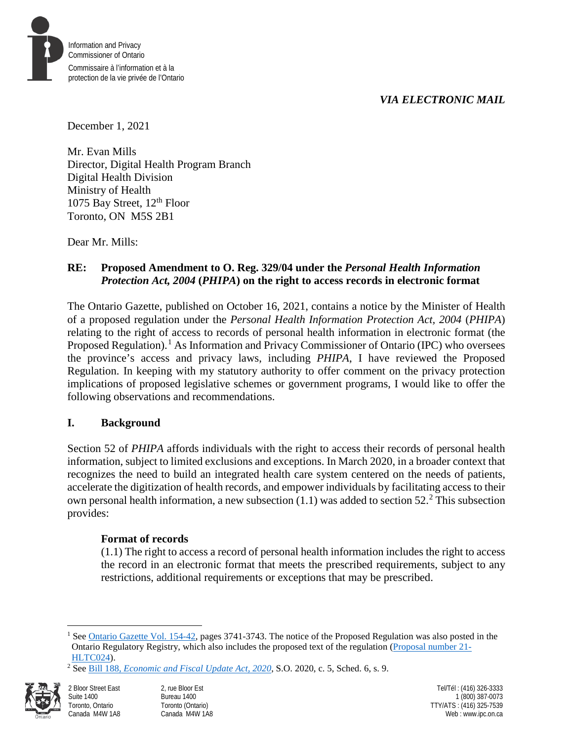# *VIA ELECTRONIC MAIL*



December 1, 2021

Mr. Evan Mills Director, Digital Health Program Branch Digital Health Division Ministry of Health 1075 Bay Street, 12<sup>th</sup> Floor Toronto, ON M5S 2B1

Dear Mr. Mills:

# **RE: Proposed Amendment to O. Reg. 329/04 under the** *Personal Health Information Protection Act, 2004* **(***PHIPA***) on the right to access records in electronic format**

The Ontario Gazette, published on October 16, 2021, contains a notice by the Minister of Health of a proposed regulation under the *Personal Health Information Protection Act, 2004* (*PHIPA*) relating to the right of access to records of personal health information in electronic format (the Proposed Regulation).<sup>[1](#page-0-0)</sup> As Information and Privacy Commissioner of Ontario (IPC) who oversees the province's access and privacy laws, including *PHIPA*, I have reviewed the Proposed Regulation. In keeping with my statutory authority to offer comment on the privacy protection implications of proposed legislative schemes or government programs, I would like to offer the following observations and recommendations.

# **I. Background**

Section 52 of *PHIPA* affords individuals with the right to access their records of personal health information, subject to limited exclusions and exceptions. In March 2020, in a broader context that recognizes the need to build an integrated health care system centered on the needs of patients, accelerate the digitization of health records, and empower individuals by facilitating access to their own personal health information, a new subsection  $(1.1)$  was added to section 5[2](#page-0-1).<sup>2</sup> This subsection provides:

### **Format of records**

(1.1) The right to access a record of personal health information includes the right to access the record in an electronic format that meets the prescribed requirements, subject to any restrictions, additional requirements or exceptions that may be prescribed.

<span id="page-0-1"></span><span id="page-0-0"></span><sup>2</sup> See Bill 188, *[Economic and Fiscal Update Act, 2020](https://www.ontario.ca/laws/statute/s20005)*, S.O. 2020, c. 5, Sched. 6, s. 9.



 $\overline{a}$ <sup>1</sup> Se[e Ontario Gazette Vol. 154-42,](https://files.ontario.ca/books/ontariogazette_154-42_1.pdf) pages 3741-3743. The notice of the Proposed Regulation was also posted in the Ontario Regulatory Registry, which also includes the proposed text of the regulation [\(Proposal number 21-](https://www.ontariocanada.com/registry/view.do?postingId=39215&language=en) [HLTC024\)](https://www.ontariocanada.com/registry/view.do?postingId=39215&language=en).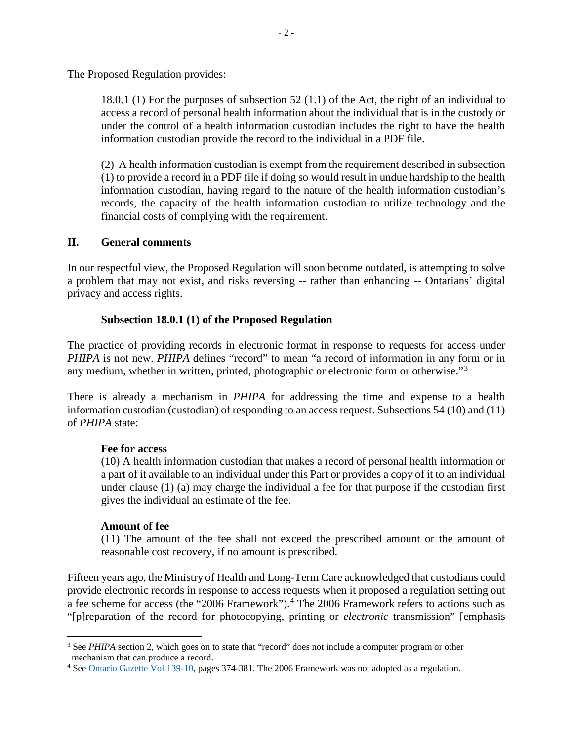The Proposed Regulation provides:

18.0.1 (1) For the purposes of subsection 52 (1.1) of the Act, the right of an individual to access a record of personal health information about the individual that is in the custody or under the control of a health information custodian includes the right to have the health information custodian provide the record to the individual in a PDF file.

(2) A health information custodian is exempt from the requirement described in subsection (1) to provide a record in a PDF file if doing so would result in undue hardship to the health information custodian, having regard to the nature of the health information custodian's records, the capacity of the health information custodian to utilize technology and the financial costs of complying with the requirement.

#### **II. General comments**

In our respectful view, the Proposed Regulation will soon become outdated, is attempting to solve a problem that may not exist, and risks reversing -- rather than enhancing -- Ontarians' digital privacy and access rights.

### **Subsection 18.0.1 (1) of the Proposed Regulation**

The practice of providing records in electronic format in response to requests for access under *PHIPA* is not new. *PHIPA* defines "record" to mean "a record of information in any form or in any medium, whether in written, printed, photographic or electronic form or otherwise."[3](#page-1-0)

There is already a mechanism in *PHIPA* for addressing the time and expense to a health information custodian (custodian) of responding to an access request. Subsections 54 (10) and (11) of *PHIPA* state:

#### **Fee for access**

(10) A health information custodian that makes a record of personal health information or a part of it available to an individual under this Part or provides a copy of it to an individual under clause (1) (a) may charge the individual a fee for that purpose if the custodian first gives the individual an estimate of the fee.

#### **Amount of fee**

(11) The amount of the fee shall not exceed the prescribed amount or the amount of reasonable cost recovery, if no amount is prescribed.

Fifteen years ago, the Ministry of Health and Long-Term Care acknowledged that custodians could provide electronic records in response to access requests when it proposed a regulation setting out a fee scheme for access (the "2006 Framework").<sup>[4](#page-1-1)</sup> The 2006 Framework refers to actions such as "[p]reparation of the record for photocopying, printing or *electronic* transmission" [emphasis

<span id="page-1-0"></span> $\overline{a}$ <sup>3</sup> See *PHIPA* section 2, which goes on to state that "record" does not include a computer program or other mechanism that can produce a record.

<span id="page-1-1"></span><sup>4</sup> Se[e Ontario Gazette Vol 139-10,](https://files.ontario.ca/books/139-10.pdf) pages 374-381. The 2006 Framework was not adopted as a regulation.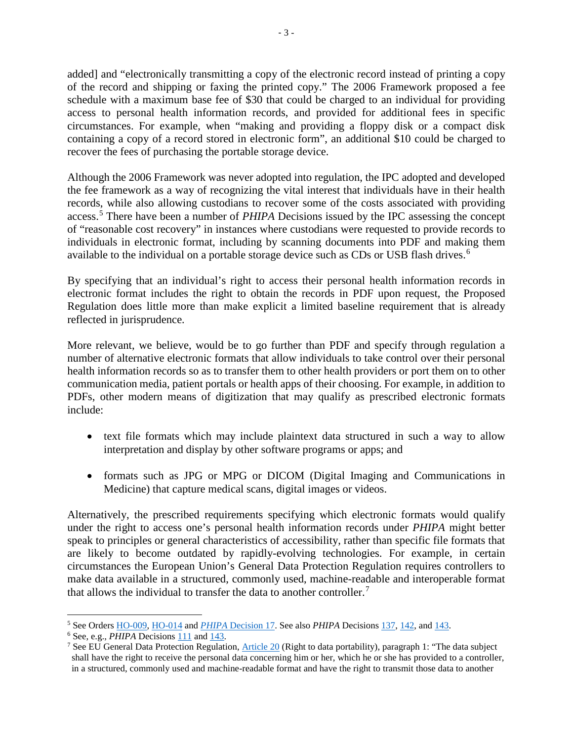added] and "electronically transmitting a copy of the electronic record instead of printing a copy of the record and shipping or faxing the printed copy." The 2006 Framework proposed a fee schedule with a maximum base fee of \$30 that could be charged to an individual for providing access to personal health information records, and provided for additional fees in specific circumstances. For example, when "making and providing a floppy disk or a compact disk containing a copy of a record stored in electronic form", an additional \$10 could be charged to recover the fees of purchasing the portable storage device.

Although the 2006 Framework was never adopted into regulation, the IPC adopted and developed the fee framework as a way of recognizing the vital interest that individuals have in their health records, while also allowing custodians to recover some of the costs associated with providing access.[5](#page-2-0) There have been a number of *PHIPA* Decisions issued by the IPC assessing the concept of "reasonable cost recovery" in instances where custodians were requested to provide records to individuals in electronic format, including by scanning documents into PDF and making them available to the individual on a portable storage device such as CDs or USB flash drives.<sup>[6](#page-2-1)</sup>

By specifying that an individual's right to access their personal health information records in electronic format includes the right to obtain the records in PDF upon request, the Proposed Regulation does little more than make explicit a limited baseline requirement that is already reflected in jurisprudence*.* 

More relevant, we believe, would be to go further than PDF and specify through regulation a number of alternative electronic formats that allow individuals to take control over their personal health information records so as to transfer them to other health providers or port them on to other communication media, patient portals or health apps of their choosing. For example, in addition to PDFs, other modern means of digitization that may qualify as prescribed electronic formats include:

- text file formats which may include plaintext data structured in such a way to allow interpretation and display by other software programs or apps; and
- formats such as JPG or MPG or DICOM (Digital Imaging and Communications in Medicine) that capture medical scans, digital images or videos.

Alternatively, the prescribed requirements specifying which electronic formats would qualify under the right to access one's personal health information records under *PHIPA* might better speak to principles or general characteristics of accessibility, rather than specific file formats that are likely to become outdated by rapidly-evolving technologies. For example, in certain circumstances the European Union's General Data Protection Regulation requires controllers to make data available in a structured, commonly used, machine-readable and interoperable format that allows the individual to transfer the data to another controller.<sup>[7](#page-2-2)</sup>

 $\overline{a}$ <sup>5</sup> See Orders [HO-009,](https://decisions.ipc.on.ca/ipc-cipvp/phipa/en/item/135119/index.do) [HO-014](https://decisions.ipc.on.ca/ipc-cipvp/phipa/en/item/134659/index.do) and *PHIPA* [Decision 17.](https://decisions.ipc.on.ca/ipc-cipvp/phipa/en/item/134860/index.do) See also *PHIPA* Decision[s 137,](https://decisions.ipc.on.ca/ipc-cipvp/phipa/en/item/491173/index.do) [142,](https://decisions.ipc.on.ca/ipc-cipvp/phipa/en/item/494292/index.do) an[d 143.](https://decisions.ipc.on.ca/ipc-cipvp/phipa/en/item/495614/index.do)

<span id="page-2-1"></span><span id="page-2-0"></span><sup>6</sup> See, e.g., *PHIPA* Decisions [111](https://decisions.ipc.on.ca/ipc-cipvp/phipa/en/item/462435/index.do) and [143.](https://decisions.ipc.on.ca/ipc-cipvp/phipa/en/item/495614/index.do)

<span id="page-2-2"></span><sup>&</sup>lt;sup>7</sup> See EU General Data Protection Regulation, [Article 20](https://gdpr-info.eu/art-20-gdpr/) (Right to data portability), paragraph 1: "The data subject shall have the right to receive the personal data concerning him or her, which he or she has provided to a controller, in a structured, commonly used and machine-readable format and have the right to transmit those data to another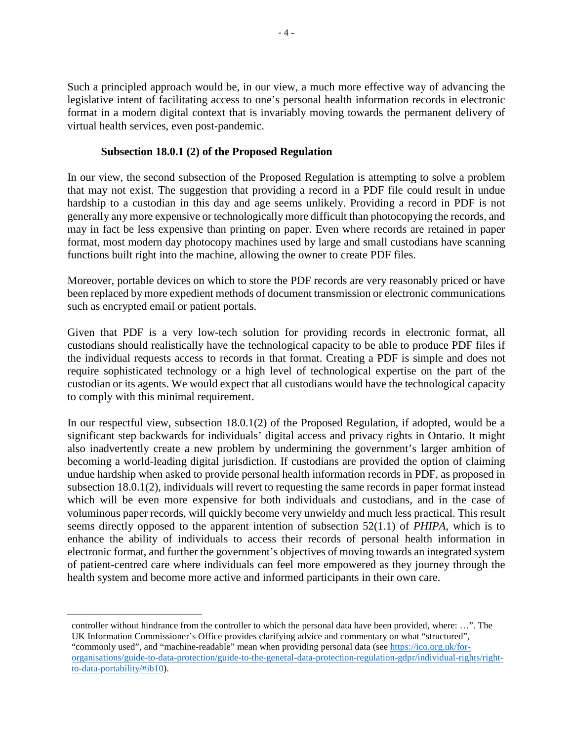Such a principled approach would be, in our view, a much more effective way of advancing the legislative intent of facilitating access to one's personal health information records in electronic format in a modern digital context that is invariably moving towards the permanent delivery of virtual health services, even post-pandemic.

### **Subsection 18.0.1 (2) of the Proposed Regulation**

In our view, the second subsection of the Proposed Regulation is attempting to solve a problem that may not exist. The suggestion that providing a record in a PDF file could result in undue hardship to a custodian in this day and age seems unlikely. Providing a record in PDF is not generally any more expensive or technologically more difficult than photocopying the records, and may in fact be less expensive than printing on paper. Even where records are retained in paper format, most modern day photocopy machines used by large and small custodians have scanning functions built right into the machine, allowing the owner to create PDF files.

Moreover, portable devices on which to store the PDF records are very reasonably priced or have been replaced by more expedient methods of document transmission or electronic communications such as encrypted email or patient portals.

Given that PDF is a very low-tech solution for providing records in electronic format, all custodians should realistically have the technological capacity to be able to produce PDF files if the individual requests access to records in that format. Creating a PDF is simple and does not require sophisticated technology or a high level of technological expertise on the part of the custodian or its agents. We would expect that all custodians would have the technological capacity to comply with this minimal requirement.

In our respectful view, subsection 18.0.1(2) of the Proposed Regulation, if adopted, would be a significant step backwards for individuals' digital access and privacy rights in Ontario. It might also inadvertently create a new problem by undermining the government's larger ambition of becoming a world-leading digital jurisdiction. If custodians are provided the option of claiming undue hardship when asked to provide personal health information records in PDF, as proposed in subsection 18.0.1(2), individuals will revert to requesting the same records in paper format instead which will be even more expensive for both individuals and custodians, and in the case of voluminous paper records, will quickly become very unwieldy and much less practical. This result seems directly opposed to the apparent intention of subsection 52(1.1) of *PHIPA*, which is to enhance the ability of individuals to access their records of personal health information in electronic format, and further the government's objectives of moving towards an integrated system of patient-centred care where individuals can feel more empowered as they journey through the health system and become more active and informed participants in their own care.

 $\overline{a}$ controller without hindrance from the controller to which the personal data have been provided, where: …". The UK Information Commissioner's Office provides clarifying advice and commentary on what "structured", "commonly used", and "machine-readable" mean when providing personal data (see [https://ico.org.uk/for](https://ico.org.uk/for-organisations/guide-to-data-protection/guide-to-the-general-data-protection-regulation-gdpr/individual-rights/right-to-data-portability/#ib10)[organisations/guide-to-data-protection/guide-to-the-general-data-protection-regulation-gdpr/individual-rights/right](https://ico.org.uk/for-organisations/guide-to-data-protection/guide-to-the-general-data-protection-regulation-gdpr/individual-rights/right-to-data-portability/#ib10)[to-data-portability/#ib10\)](https://ico.org.uk/for-organisations/guide-to-data-protection/guide-to-the-general-data-protection-regulation-gdpr/individual-rights/right-to-data-portability/#ib10).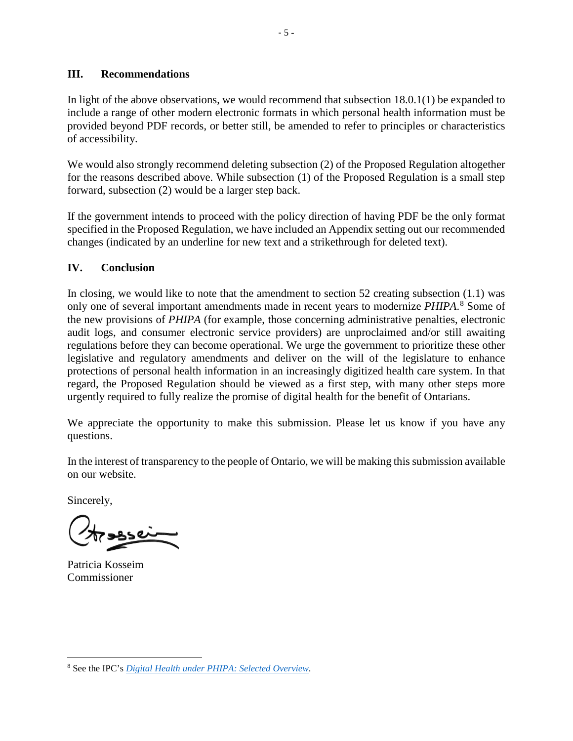#### **III. Recommendations**

In light of the above observations, we would recommend that subsection 18.0.1(1) be expanded to include a range of other modern electronic formats in which personal health information must be provided beyond PDF records, or better still, be amended to refer to principles or characteristics of accessibility.

We would also strongly recommend deleting subsection (2) of the Proposed Regulation altogether for the reasons described above. While subsection (1) of the Proposed Regulation is a small step forward, subsection (2) would be a larger step back.

If the government intends to proceed with the policy direction of having PDF be the only format specified in the Proposed Regulation, we have included an Appendix setting out our recommended changes (indicated by an underline for new text and a strikethrough for deleted text).

# **IV. Conclusion**

In closing, we would like to note that the amendment to section 52 creating subsection  $(1.1)$  was only one of several important amendments made in recent years to modernize *PHIPA*. [8](#page-4-0) Some of the new provisions of *PHIPA* (for example, those concerning administrative penalties, electronic audit logs, and consumer electronic service providers) are unproclaimed and/or still awaiting regulations before they can become operational. We urge the government to prioritize these other legislative and regulatory amendments and deliver on the will of the legislature to enhance protections of personal health information in an increasingly digitized health care system. In that regard, the Proposed Regulation should be viewed as a first step, with many other steps more urgently required to fully realize the promise of digital health for the benefit of Ontarians.

We appreciate the opportunity to make this submission. Please let us know if you have any questions.

In the interest of transparency to the people of Ontario, we will be making this submission available on our website.

Sincerely,

Patricia Kosseim Commissioner

<span id="page-4-0"></span> $\overline{a}$ <sup>8</sup> See the IPC's *[Digital Health under PHIPA: Selected Overview](https://www.ipc.on.ca/wp-content/uploads/2021/05/digital-health-under-phipa.pdf)*.